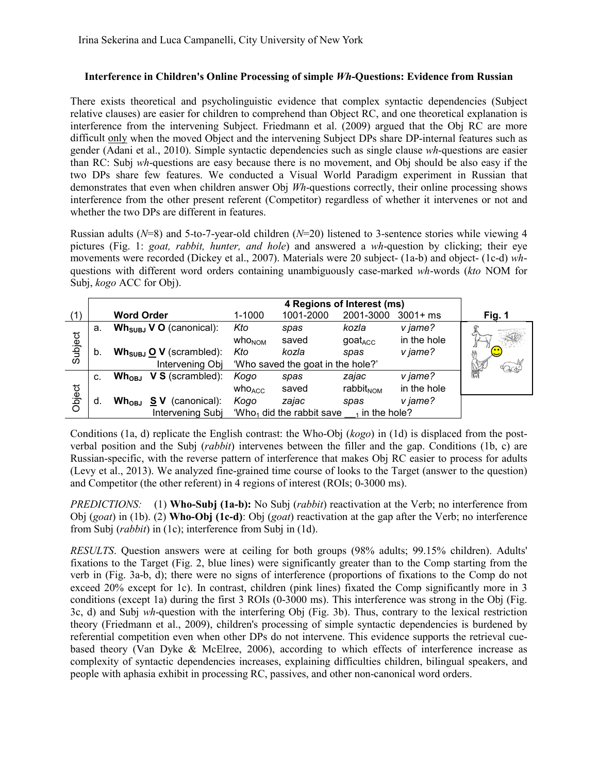## **Interference in Children's Online Processing of simple** *Wh***-Questions: Evidence from Russian**

There exists theoretical and psycholinguistic evidence that complex syntactic dependencies (Subject relative clauses) are easier for children to comprehend than Object RC, and one theoretical explanation is interference from the intervening Subject. Friedmann et al. (2009) argued that the Obj RC are more difficult only when the moved Object and the intervening Subject DPs share DP-internal features such as gender (Adani et al., 2010). Simple syntactic dependencies such as single clause *wh*-questions are easier than RC: Subj *wh*-questions are easy because there is no movement, and Obj should be also easy if the two DPs share few features. We conducted a Visual World Paradigm experiment in Russian that demonstrates that even when children answer Obj *Wh*-questions correctly, their online processing shows interference from the other present referent (Competitor) regardless of whether it intervenes or not and whether the two DPs are different in features.

Russian adults (*N*=8) and 5-to-7-year-old children (*N*=20) listened to 3-sentence stories while viewing 4 pictures (Fig. 1: *goat, rabbit, hunter, and hole*) and answered a *wh*-question by clicking; their eye movements were recorded (Dickey et al., 2007). Materials were 20 subject- (1a-b) and object- (1c-d) *wh*questions with different word orders containing unambiguously case-marked *wh*-words (*kto* NOM for Subj, *kogo* ACC for Obj).

|         |    |                                                        | 4 Regions of Interest (ms)                                   |           |                                |             |         |
|---------|----|--------------------------------------------------------|--------------------------------------------------------------|-----------|--------------------------------|-------------|---------|
| (1)     |    | <b>Word Order</b>                                      | $1 - 1000$                                                   | 1001-2000 | 2001-3000                      | $3001 + ms$ | Fig. 1  |
| Subject | а. | $Wh_{SUBJ}$ V O (canonical):                           | Kto                                                          | spas      | kozla                          | v jame?     |         |
|         |    |                                                        | who <sub>NOM</sub>                                           | saved     | $\mathsf{goat}_{\mathsf{ACC}}$ | in the hole |         |
|         | b. | $Wh_{SUBJ}$ O V (scrambled):                           | Kto                                                          | kozla     | spas                           | v jame?     | <u></u> |
|         |    | Intervening Obj                                        | 'Who saved the goat in the hole?'                            |           |                                |             | 4206    |
| Object  | C. | $Wh_{OBJ}$<br>$V S$ (scrambled):                       | Kogo                                                         | spas      | zajac                          | v jame?     |         |
|         |    |                                                        | who <sub>ACC</sub>                                           | saved     | rabbit <sub>NOM</sub>          | in the hole |         |
|         | d. | $\mathsf{Wh}_{\mathsf{OBJ}}$<br><b>SV</b> (canonical): | Kogo                                                         | zajac     | spas                           | v jame?     |         |
|         |    | Intervening Subj                                       | $W$ ho <sub>1</sub> did the rabbit save<br>$_1$ in the hole? |           |                                |             |         |

Conditions (1a, d) replicate the English contrast: the Who-Obj (*kogo*) in (1d) is displaced from the postverbal position and the Subj (*rabbit*) intervenes between the filler and the gap. Conditions (1b, c) are Russian-specific, with the reverse pattern of interference that makes Obj RC easier to process for adults (Levy et al., 2013). We analyzed fine-grained time course of looks to the Target (answer to the question) and Competitor (the other referent) in 4 regions of interest (ROIs; 0-3000 ms).

*PREDICTIONS:* (1) **Who-Subj (1a-b):** No Subj (*rabbit*) reactivation at the Verb; no interference from Obj (*goat*) in (1b). (2) **Who-Obj (1c-d)**: Obj (*goat*) reactivation at the gap after the Verb; no interference from Subj (*rabbit*) in (1c); interference from Subj in (1d).

*RESULTS*. Question answers were at ceiling for both groups (98% adults; 99.15% children). Adults' fixations to the Target (Fig. 2, blue lines) were significantly greater than to the Comp starting from the verb in (Fig. 3a-b, d); there were no signs of interference (proportions of fixations to the Comp do not exceed 20% except for 1c). In contrast, children (pink lines) fixated the Comp significantly more in 3 conditions (except 1a) during the first 3 ROIs (0-3000 ms). This interference was strong in the Obj (Fig. 3c, d) and Subj *wh*-question with the interfering Obj (Fig. 3b). Thus, contrary to the lexical restriction theory (Friedmann et al., 2009), children's processing of simple syntactic dependencies is burdened by referential competition even when other DPs do not intervene. This evidence supports the retrieval cuebased theory (Van Dyke & McElree, 2006), according to which effects of interference increase as complexity of syntactic dependencies increases, explaining difficulties children, bilingual speakers, and people with aphasia exhibit in processing RC, passives, and other non-canonical word orders.